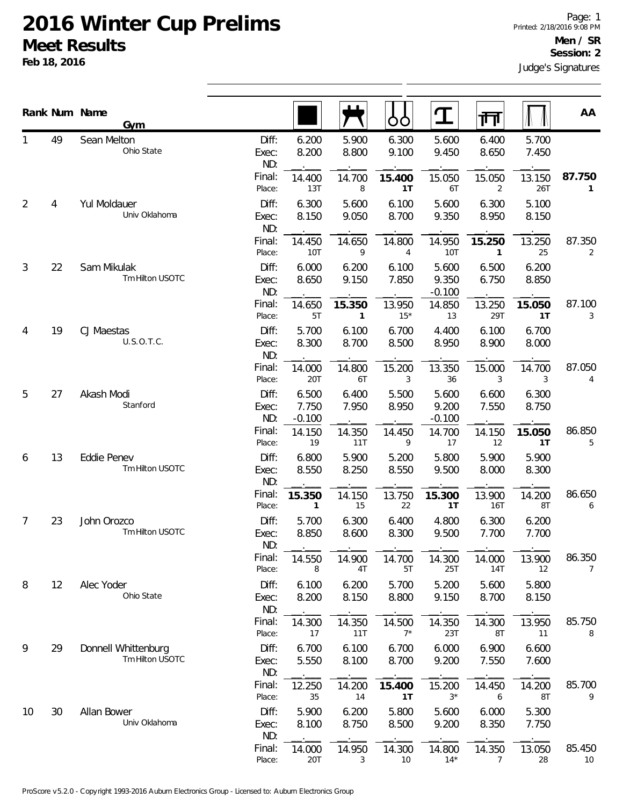|    |    | Rank Num Name<br>Gym                   |                       |                            |                        | OO               | $\Box$                     | नि                       |                | AA                       |
|----|----|----------------------------------------|-----------------------|----------------------------|------------------------|------------------|----------------------------|--------------------------|----------------|--------------------------|
|    | 49 | Sean Melton<br>Ohio State              | Diff:<br>Exec:<br>ND: | 6.200<br>8.200             | 5.900<br>8.800         | 6.300<br>9.100   | 5.600<br>9.450             | 6.400<br>8.650           | 5.700<br>7.450 |                          |
|    |    |                                        | Final:<br>Place:      | 14.400<br>13T              | 14.700<br>8            | 15.400<br>1T     | 15.050<br>6T               | 15.050<br>$\overline{2}$ | 13.150<br>26T  | 87.750<br>$\mathbf{1}$   |
| 2  | 4  | Yul Moldauer<br>Univ Oklahoma          | Diff:<br>Exec:<br>ND: | 6.300<br>8.150             | 5.600<br>9.050         | 6.100<br>8.700   | 5.600<br>9.350             | 6.300<br>8.950           | 5.100<br>8.150 |                          |
|    |    |                                        | Final:<br>Place:      | 14.450<br>10T              | 14.650<br>9            | 14.800<br>4      | 14.950<br>10T              | 15.250<br>$\mathbf{1}$   | 13.250<br>25   | 87.350<br>2              |
| 3  | 22 | Sam Mikulak<br>Tm Hilton USOTC         | Diff:<br>Exec:<br>ND: | 6.000<br>8.650             | 6.200<br>9.150         | 6.100<br>7.850   | 5.600<br>9.350<br>$-0.100$ | 6.500<br>6.750           | 6.200<br>8.850 |                          |
|    |    |                                        | Final:<br>Place:      | 14.650<br>5T               | 15.350<br>$\mathbf{1}$ | 13.950<br>$15*$  | 14.850<br>13               | 13.250<br>29T            | 15.050<br>1T   | 87.100<br>3              |
| 4  | 19 | CJ Maestas<br>U.S.O.T.C.               | Diff:<br>Exec:<br>ND: | 5.700<br>8.300             | 6.100<br>8.700         | 6.700<br>8.500   | 4.400<br>8.950             | 6.100<br>8.900           | 6.700<br>8.000 |                          |
|    |    |                                        | Final:<br>Place:      | 14.000<br><b>20T</b>       | 14.800<br>6T           | 15.200<br>3      | 13.350<br>36               | 15.000<br>3              | 14.700<br>3    | 87.050<br>4              |
| 5  | 27 | Akash Modi<br>Stanford                 | Diff:<br>Exec:<br>ND: | 6.500<br>7.750<br>$-0.100$ | 6.400<br>7.950         | 5.500<br>8.950   | 5.600<br>9.200<br>$-0.100$ | 6.600<br>7.550           | 6.300<br>8.750 |                          |
|    |    |                                        | Final:<br>Place:      | 14.150<br>19               | 14.350<br>11T          | 14.450<br>9      | 14.700<br>17               | 14.150<br>12             | 15.050<br>1T   | 86.850<br>5              |
| 6  | 13 | <b>Eddie Penev</b><br>Tm Hilton USOTC  | Diff:<br>Exec:<br>ND: | 6.800<br>8.550             | 5.900<br>8.250         | 5.200<br>8.550   | 5.800<br>9.500             | 5.900<br>8.000           | 5.900<br>8.300 |                          |
|    |    |                                        | Final:<br>Place:      | 15.350<br>1                | 14.150<br>15           | 13.750<br>22     | 15.300<br>1T               | 13.900<br>16T            | 14.200<br>8T   | 86.650<br>6              |
| 7  | 23 | John Orozco<br>Tm Hilton USOTC         | Diff:<br>Exec:<br>ND: | 5.700<br>8.850             | 6.300<br>8.600         | 6.400<br>8.300   | 4.800<br>9.500             | 6.300<br>7.700           | 6.200<br>7.700 |                          |
|    |    |                                        | Final:<br>Place:      | 14.550<br>8                | 14.900<br>4T           | 14.700<br>5T     | 14.300<br>25T              | 14.000<br>14T            | 13.900<br>12   | 86.350<br>$\overline{7}$ |
| 8  | 12 | Alec Yoder<br>Ohio State               | Diff:<br>Exec:<br>ND: | 6.100<br>8.200             | 6.200<br>8.150         | 5.700<br>8.800   | 5.200<br>9.150             | 5.600<br>8.700           | 5.800<br>8.150 |                          |
|    |    |                                        | Final:<br>Place:      | 14.300<br>17               | 14.350<br>11T          | 14.500<br>$7^*$  | 14.350<br>23T              | 14.300<br>8T             | 13.950<br>11   | 85.750<br>8              |
| 9  | 29 | Donnell Whittenburg<br>Tm Hilton USOTC | Diff:<br>Exec:<br>ND: | 6.700<br>5.550             | 6.100<br>8.100         | 6.700<br>8.700   | 6.000<br>9.200             | 6.900<br>7.550           | 6.600<br>7.600 |                          |
|    |    |                                        | Final:<br>Place:      | 12.250<br>35               | 14.200<br>14           | 15.400<br>1T     | 15.200<br>$3*$             | 14.450<br>6              | 14.200<br>8T   | 85.700<br>9              |
| 10 | 30 | Allan Bower<br>Univ Oklahoma           | Diff:<br>Exec:<br>ND: | 5.900<br>8.100             | 6.200<br>8.750         | 5.800<br>8.500   | 5.600<br>9.200             | 6.000<br>8.350           | 5.300<br>7.750 |                          |
|    |    |                                        | Final:<br>Place:      | 14.000<br>20T              | 14.950<br>3            | 14.300<br>$10\,$ | 14.800<br>$14*$            | 14.350<br>$\overline{7}$ | 13.050<br>28   | 85.450<br>10             |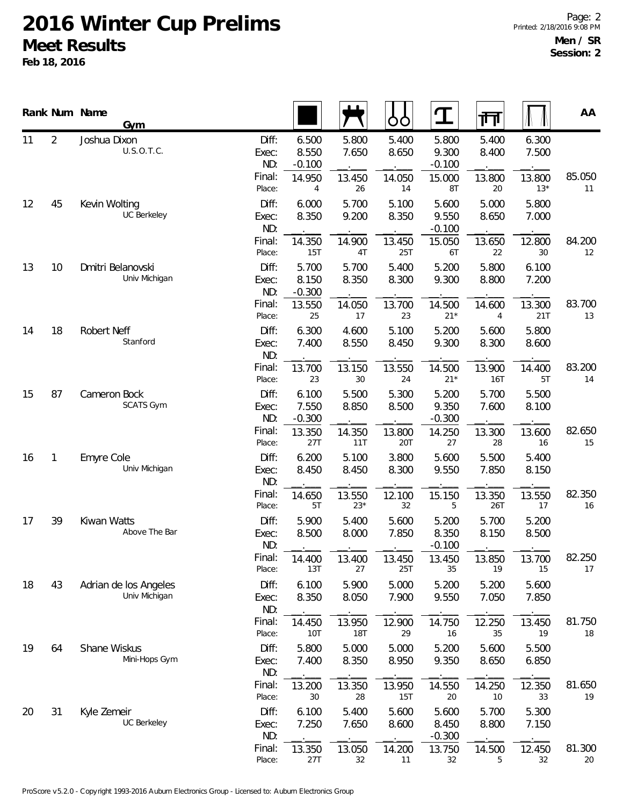|    |                | Rank Num Name<br>Gym                   |                                 |                                      |                          | O<br>O                   | $\mathbf T$                          | 帀                        |                          | AA           |
|----|----------------|----------------------------------------|---------------------------------|--------------------------------------|--------------------------|--------------------------|--------------------------------------|--------------------------|--------------------------|--------------|
| 11 | $\overline{2}$ | Joshua Dixon<br>U.S.O.T.C.             | Diff:<br>Exec:<br>ND:<br>Final: | 6.500<br>8.550<br>$-0.100$<br>14.950 | 5.800<br>7.650<br>13.450 | 5.400<br>8.650<br>14.050 | 5.800<br>9.300<br>$-0.100$<br>15.000 | 5.400<br>8.400<br>13.800 | 6.300<br>7.500<br>13.800 | 85.050       |
| 12 | 45             | Kevin Wolting<br><b>UC Berkeley</b>    | Place:<br>Diff:<br>Exec:        | 4<br>6.000<br>8.350                  | 26<br>5.700<br>9.200     | 14<br>5.100<br>8.350     | 8T<br>5.600<br>9.550                 | 20<br>5.000<br>8.650     | $13*$<br>5.800<br>7.000  | 11           |
|    |                |                                        | ND:<br>Final:<br>Place:         | 14.350<br>15T                        | 14.900<br>4T             | 13.450<br>25T            | $-0.100$<br>15.050<br>6T             | 13.650<br>22             | 12.800<br>30             | 84.200<br>12 |
| 13 | 10             | Dmitri Belanovski<br>Univ Michigan     | Diff:<br>Exec:<br>ND:           | 5.700<br>8.150<br>$-0.300$           | 5.700<br>8.350           | 5.400<br>8.300           | 5.200<br>9.300                       | 5.800<br>8.800           | 6.100<br>7.200           |              |
|    |                |                                        | Final:<br>Place:                | 13.550<br>25                         | 14.050<br>17             | 13.700<br>23             | 14.500<br>$21*$                      | 14.600<br>4              | 13.300<br>21T            | 83.700<br>13 |
| 14 | 18             | Robert Neff<br>Stanford                | Diff:<br>Exec:<br>ND:           | 6.300<br>7.400                       | 4.600<br>8.550           | 5.100<br>8.450           | 5.200<br>9.300                       | 5.600<br>8.300           | 5.800<br>8.600           |              |
|    |                |                                        | Final:<br>Place:                | 13.700<br>23                         | 13.150<br>30             | 13.550<br>24             | 14.500<br>$21*$                      | 13.900<br><b>16T</b>     | 14.400<br>5T             | 83.200<br>14 |
| 15 | 87             | Cameron Bock<br><b>SCATS Gym</b>       | Diff:<br>Exec:<br>ND:           | 6.100<br>7.550<br>$-0.300$           | 5.500<br>8.850           | 5.300<br>8.500           | 5.200<br>9.350<br>$-0.300$           | 5.700<br>7.600           | 5.500<br>8.100           |              |
|    |                |                                        | Final:<br>Place:                | 13.350<br>27T                        | 14.350<br>11T            | 13.800<br>20T            | 14.250<br>27                         | 13.300<br>28             | 13.600<br>16             | 82.650<br>15 |
| 16 | 1              | <b>Emyre Cole</b><br>Univ Michigan     | Diff:<br>Exec:<br>ND:           | 6.200<br>8.450                       | 5.100<br>8.450           | 3.800<br>8.300           | 5.600<br>9.550                       | 5.500<br>7.850           | 5.400<br>8.150           |              |
|    |                |                                        | Final:<br>Place:                | 14.650<br>5T                         | 13.550<br>$23*$          | 12.100<br>32             | 15.150<br>5                          | 13.350<br>26T            | 13.550<br>17             | 82.350<br>16 |
| 17 | 39             | Kiwan Watts<br>Above The Bar           | Diff:<br>Exec:<br>ND:           | 5.900<br>8.500                       | 5.400<br>8.000           | 5.600<br>7.850           | 5.200<br>8.350<br>$-0.100$           | 5.700<br>8.150           | 5.200<br>8.500           |              |
|    |                |                                        | Final:<br>Place:                | 14.400<br>13T                        | 13.400<br>27             | 13.450<br>25T            | 13.450<br>35                         | 13.850<br>19             | 13.700<br>15             | 82.250<br>17 |
| 18 | 43             | Adrian de los Angeles<br>Univ Michigan | Diff:<br>Exec:<br>ND:           | 6.100<br>8.350                       | 5.900<br>8.050           | 5.000<br>7.900           | 5.200<br>9.550                       | 5.200<br>7.050           | 5.600<br>7.850           |              |
|    |                |                                        | Final:<br>Place:                | 14.450<br>10T                        | 13.950<br>18T            | 12.900<br>29             | 14.750<br>16                         | 12.250<br>35             | 13.450<br>19             | 81.750<br>18 |
| 19 | 64             | Shane Wiskus<br>Mini-Hops Gym          | Diff:<br>Exec:<br>ND:           | 5.800<br>7.400                       | 5.000<br>8.350           | 5.000<br>8.950           | 5.200<br>9.350                       | 5.600<br>8.650           | 5.500<br>6.850           |              |
|    |                |                                        | Final:<br>Place:                | 13.200<br>30                         | 13.350<br>28             | 13.950<br>15T            | 14.550<br>20                         | 14.250<br>10             | 12.350<br>33             | 81.650<br>19 |
| 20 | 31             | Kyle Zemeir<br>UC Berkeley             | Diff:<br>Exec:<br>ND:           | 6.100<br>7.250                       | 5.400<br>7.650           | 5.600<br>8.600           | 5.600<br>8.450<br>$-0.300$           | 5.700<br>8.800           | 5.300<br>7.150           |              |
|    |                |                                        | Final:<br>Place:                | 13.350<br>27T                        | 13.050<br>32             | 14.200<br>11             | 13.750<br>32                         | 14.500<br>5              | 12.450<br>32             | 81.300<br>20 |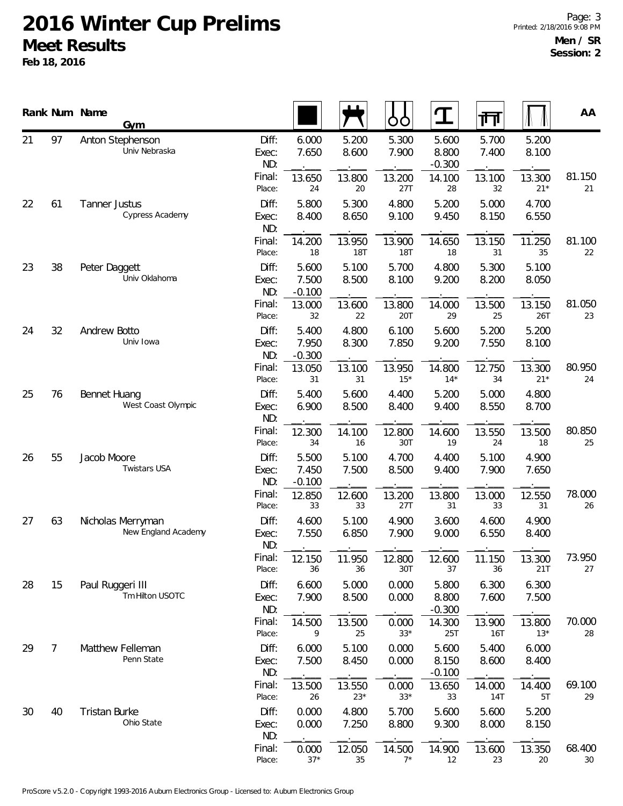|    |                | Rank Num Name<br>Gym                     |                       |                            |                      | OO                   | $\mathbf T$                | 帀              |                 | AA           |
|----|----------------|------------------------------------------|-----------------------|----------------------------|----------------------|----------------------|----------------------------|----------------|-----------------|--------------|
| 21 | 97             | Anton Stephenson<br>Univ Nebraska        | Diff:<br>Exec:<br>ND: | 6.000<br>7.650             | 5.200<br>8.600       | 5.300<br>7.900       | 5.600<br>8.800<br>$-0.300$ | 5.700<br>7.400 | 5.200<br>8.100  |              |
|    |                |                                          | Final:<br>Place:      | 13.650<br>24               | 13.800<br>20         | 13.200<br>27T        | 14.100<br>28               | 13.100<br>32   | 13.300<br>$21*$ | 81.150<br>21 |
| 22 | 61             | <b>Tanner Justus</b><br>Cypress Academy  | Diff:<br>Exec:<br>ND: | 5.800<br>8.400             | 5.300<br>8.650       | 4.800<br>9.100       | 5.200<br>9.450             | 5.000<br>8.150 | 4.700<br>6.550  |              |
|    |                |                                          | Final:<br>Place:      | 14.200<br>18               | 13.950<br><b>18T</b> | 13.900<br><b>18T</b> | 14.650<br>18               | 13.150<br>31   | 11.250<br>35    | 81.100<br>22 |
| 23 | 38             | Peter Daggett<br>Univ Oklahoma           | Diff:<br>Exec:<br>ND: | 5.600<br>7.500<br>$-0.100$ | 5.100<br>8.500       | 5.700<br>8.100       | 4.800<br>9.200             | 5.300<br>8.200 | 5.100<br>8.050  |              |
|    |                |                                          | Final:<br>Place:      | 13.000<br>32               | 13.600<br>22         | 13.800<br>20T        | 14.000<br>29               | 13.500<br>25   | 13.150<br>26T   | 81.050<br>23 |
| 24 | 32             | Andrew Botto<br>Univ Iowa                | Diff:<br>Exec:<br>ND: | 5.400<br>7.950<br>$-0.300$ | 4.800<br>8.300       | 6.100<br>7.850       | 5.600<br>9.200             | 5.200<br>7.550 | 5.200<br>8.100  |              |
|    |                |                                          | Final:<br>Place:      | 13.050<br>31               | 13.100<br>31         | 13.950<br>$15*$      | 14.800<br>$14*$            | 12.750<br>34   | 13.300<br>$21*$ | 80.950<br>24 |
| 25 | 76             | Bennet Huang<br>West Coast Olympic       | Diff:<br>Exec:<br>ND: | 5.400<br>6.900             | 5.600<br>8.500       | 4.400<br>8.400       | 5.200<br>9.400             | 5.000<br>8.550 | 4.800<br>8.700  |              |
|    |                |                                          | Final:<br>Place:      | 12.300<br>34               | 14.100<br>16         | 12.800<br>30T        | 14.600<br>19               | 13.550<br>24   | 13.500<br>18    | 80.850<br>25 |
| 26 | 55             | Jacob Moore<br><b>Twistars USA</b>       | Diff:<br>Exec:<br>ND: | 5.500<br>7.450<br>$-0.100$ | 5.100<br>7.500       | 4.700<br>8.500       | 4.400<br>9.400             | 5.100<br>7.900 | 4.900<br>7.650  |              |
|    |                |                                          | Final:<br>Place:      | 12.850<br>33               | 12.600<br>33         | 13.200<br>27T        | 13.800<br>31               | 13.000<br>33   | 12.550<br>31    | 78.000<br>26 |
| 27 | 63             | Nicholas Merryman<br>New England Academy | Diff:<br>Exec:<br>ND: | 4.600<br>7.550             | 5.100<br>6.850       | 4.900<br>7.900       | 3.600<br>9.000             | 4.600<br>6.550 | 4.900<br>8.400  |              |
|    |                |                                          | Final:<br>Place:      | 12.150<br>36               | 11.950<br>36         | 12.800<br>30T        | 12.600<br>37               | 11.150<br>36   | 13.300<br>21T   | 73.950<br>27 |
| 28 | 15             | Paul Ruggeri III<br>Tm Hilton USOTC      | Diff:<br>Exec:<br>ND: | 6.600<br>7.900             | 5.000<br>8.500       | 0.000<br>0.000       | 5.800<br>8.800<br>$-0.300$ | 6.300<br>7.600 | 6.300<br>7.500  |              |
|    |                |                                          | Final:<br>Place:      | 14.500<br>9                | 13.500<br>25         | 0.000<br>$33*$       | 14.300<br>25T              | 13.900<br>16T  | 13.800<br>$13*$ | 70.000<br>28 |
| 29 | $\overline{7}$ | Matthew Felleman<br>Penn State           | Diff:<br>Exec:<br>ND: | 6.000<br>7.500             | 5.100<br>8.450       | 0.000<br>0.000       | 5.600<br>8.150<br>$-0.100$ | 5.400<br>8.600 | 6.000<br>8.400  |              |
|    |                |                                          | Final:<br>Place:      | 13.500<br>26               | 13.550<br>$23*$      | 0.000<br>$33*$       | 13.650<br>33               | 14.000<br>14T  | 14.400<br>5T    | 69.100<br>29 |
| 30 | 40             | Tristan Burke<br>Ohio State              | Diff:<br>Exec:<br>ND: | 0.000<br>0.000             | 4.800<br>7.250       | 5.700<br>8.800       | 5.600<br>9.300             | 5.600<br>8.000 | 5.200<br>8.150  |              |
|    |                |                                          | Final:<br>Place:      | 0.000<br>$37*$             | 12.050<br>35         | 14.500<br>$7^*$      | 14.900<br>12               | 13.600<br>23   | 13.350<br>20    | 68.400<br>30 |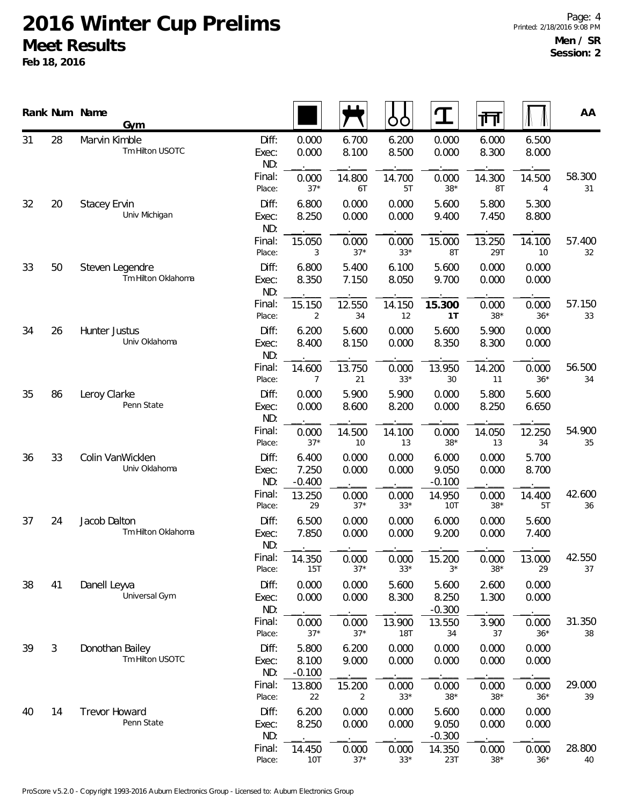|    |                | Rank Num Name<br>Gym                  |                       |                            |                       | O<br>O                | ${\bf T}$                  | गा                    |                | AA           |
|----|----------------|---------------------------------------|-----------------------|----------------------------|-----------------------|-----------------------|----------------------------|-----------------------|----------------|--------------|
| 31 | 28             | Marvin Kimble<br>Tm Hilton USOTC      | Diff:<br>Exec:<br>ND: | 0.000<br>0.000             | 6.700<br>8.100        | 6.200<br>8.500        | 0.000<br>0.000             | 6.000<br>8.300        | 6.500<br>8.000 |              |
|    |                |                                       | Final:<br>Place:      | 0.000<br>$37*$             | 14.800<br>6T          | 14.700<br>5T          | 0.000<br>$38*$             | 14.300<br>8T          | 14.500<br>4    | 58.300<br>31 |
| 32 | 20             | <b>Stacey Ervin</b><br>Univ Michigan  | Diff:<br>Exec:<br>ND: | 6.800<br>8.250             | 0.000<br>0.000        | 0.000<br>0.000        | 5.600<br>9.400             | 5.800<br>7.450        | 5.300<br>8.800 |              |
|    |                |                                       | Final:<br>Place:      | 15.050<br>3                | 0.000<br>$37*$        | 0.000<br>$33*$        | 15.000<br>8T               | 13.250<br>29T         | 14.100<br>10   | 57.400<br>32 |
| 33 | 50             | Steven Legendre<br>Tm Hilton Oklahoma | Diff:<br>Exec:<br>ND: | 6.800<br>8.350             | 5.400<br>7.150        | 6.100<br>8.050        | 5.600<br>9.700             | 0.000<br>0.000        | 0.000<br>0.000 |              |
|    |                |                                       | Final:<br>Place:      | 15.150<br>2                | 12.550<br>34          | 14.150<br>12          | 15.300<br>1T               | 0.000<br>$38*$        | 0.000<br>$36*$ | 57.150<br>33 |
| 34 | 26             | Hunter Justus<br>Univ Oklahoma        | Diff:<br>Exec:<br>ND: | 6.200<br>8.400             | 5.600<br>8.150        | 0.000<br>0.000        | 5.600<br>8.350             | 5.900<br>8.300        | 0.000<br>0.000 |              |
|    |                |                                       | Final:<br>Place:      | 14.600<br>7                | 13.750<br>21          | 0.000<br>$33*$        | 13.950<br>30               | 14.200<br>11          | 0.000<br>$36*$ | 56.500<br>34 |
| 35 | 86             | Leroy Clarke<br>Penn State            | Diff:<br>Exec:<br>ND: | 0.000<br>0.000             | 5.900<br>8.600        | 5.900<br>8.200        | 0.000<br>0.000             | 5.800<br>8.250        | 5.600<br>6.650 |              |
|    |                |                                       | Final:<br>Place:      | 0.000<br>$37*$             | 14.500<br>10          | 14.100<br>13          | 0.000<br>$38*$             | 14.050<br>13          | 12.250<br>34   | 54.900<br>35 |
| 36 | 33             | Colin VanWicklen<br>Univ Oklahoma     | Diff:<br>Exec:<br>ND: | 6.400<br>7.250<br>$-0.400$ | 0.000<br>0.000        | 0.000<br>0.000        | 6.000<br>9.050<br>$-0.100$ | 0.000<br>0.000        | 5.700<br>8.700 |              |
|    |                |                                       | Final:<br>Place:      | 13.250<br>29               | 0.000<br>$37*$        | 0.000<br>$33*$        | 14.950<br>10T              | 0.000<br>$38*$        | 14.400<br>5T   | 42.600<br>36 |
| 37 | 24             | Jacob Dalton<br>Tm Hilton Oklahoma    | Diff:<br>Exec:<br>ND: | 6.500<br>7.850             | 0.000<br>0.000        | 0.000<br>0.000        | 6.000<br>9.200             | 0.000<br>0.000        | 5.600<br>7.400 |              |
|    |                |                                       | Final:<br>Place:      | 14.350<br>15T              | 0.000<br>$37*$        | 0.000<br>$33*$        | 15.200<br>$3^{\star}$      | 0.000<br>$38*$        | 13.000<br>29   | 42.550<br>37 |
| 38 | 41             | Danell Leyva<br>Universal Gym         | Diff:<br>Exec:<br>ND: | 0.000<br>0.000             | 0.000<br>0.000        | 5.600<br>8.300        | 5.600<br>8.250<br>$-0.300$ | 2.600<br>1.300        | 0.000<br>0.000 |              |
|    |                |                                       | Final:<br>Place:      | 0.000<br>$37*$             | 0.000<br>$37*$        | 13.900<br>18T         | 13.550<br>34               | 3.900<br>37           | 0.000<br>$36*$ | 31.350<br>38 |
| 39 | $\mathfrak{Z}$ | Donothan Bailey<br>Tm Hilton USOTC    | Diff:<br>Exec:<br>ND: | 5.800<br>8.100<br>$-0.100$ | 6.200<br>9.000        | 0.000<br>0.000        | 0.000<br>0.000             | 0.000<br>0.000        | 0.000<br>0.000 |              |
|    |                |                                       | Final:<br>Place:      | 13.800<br>22               | 15.200<br>2           | 0.000<br>$33*$        | 0.000<br>$38*$             | 0.000<br>$38*$        | 0.000<br>$36*$ | 29.000<br>39 |
| 40 | 14             | Trevor Howard<br>Penn State           | Diff:<br>Exec:<br>ND: | 6.200<br>8.250             | 0.000<br>0.000        | 0.000<br>0.000        | 5.600<br>9.050<br>$-0.300$ | 0.000<br>0.000        | 0.000<br>0.000 |              |
|    |                |                                       | Final:<br>Place:      | 14.450<br><b>10T</b>       | 0.000<br>$37^{\star}$ | 0.000<br>$33^{\star}$ | 14.350<br>23T              | 0.000<br>$38^{\star}$ | 0.000<br>$36*$ | 28.800<br>40 |